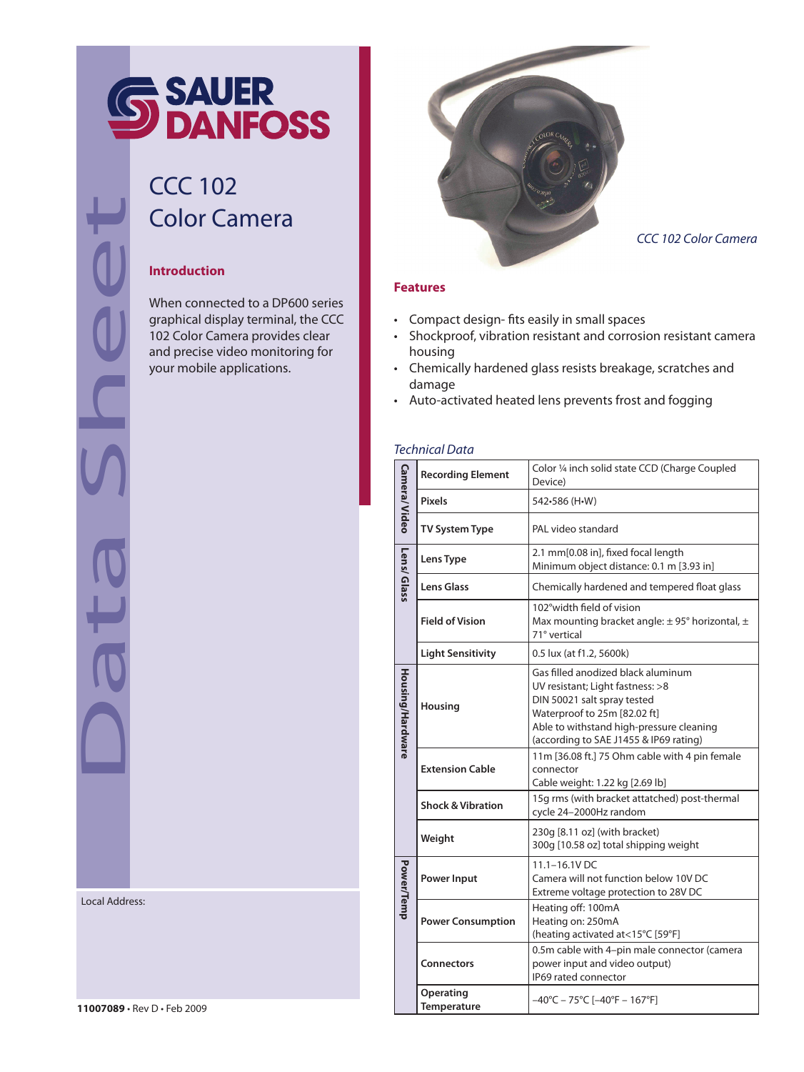

# CCC 102 Color Camera

# **Introduction**

When connected to a DP600 series graphical display terminal, the CCC 102 Color Camera provides clear and precise video monitoring for your mobile applications.



*CCC 102 Color Camera*

#### **Features**

- Compact design- fits easily in small spaces
- Shockproof, vibration resistant and corrosion resistant camera housing
- Chemically hardened glass resists breakage, scratches and damage
- Auto-activated heated lens prevents frost and fogging

## *Technical Data*

| Camera/Video     | <b>Recording Element</b>        | Color 1/4 inch solid state CCD (Charge Coupled<br>Device)                                                                                                                                                                   |  |
|------------------|---------------------------------|-----------------------------------------------------------------------------------------------------------------------------------------------------------------------------------------------------------------------------|--|
|                  | <b>Pixels</b>                   | 542-586 (H-W)                                                                                                                                                                                                               |  |
|                  | <b>TV System Type</b>           | PAL video standard                                                                                                                                                                                                          |  |
| Lens/ Glass      | Lens Type                       | 2.1 mm[0.08 in], fixed focal length<br>Minimum object distance: 0.1 m [3.93 in]                                                                                                                                             |  |
|                  | <b>Lens Glass</b>               | Chemically hardened and tempered float glass                                                                                                                                                                                |  |
|                  | <b>Field of Vision</b>          | 102° width field of vision<br>Max mounting bracket angle: $\pm$ 95° horizontal, $\pm$<br>71° vertical                                                                                                                       |  |
|                  | <b>Light Sensitivity</b>        | 0.5 lux (at f1.2, 5600k)                                                                                                                                                                                                    |  |
| Housing/Hardware | <b>Housing</b>                  | Gas filled anodized black aluminum<br>UV resistant; Light fastness: >8<br>DIN 50021 salt spray tested<br>Waterproof to 25m [82.02 ft]<br>Able to withstand high-pressure cleaning<br>(according to SAE J1455 & IP69 rating) |  |
|                  | <b>Extension Cable</b>          | 11m [36.08 ft.] 75 Ohm cable with 4 pin female<br>connector<br>Cable weight: 1.22 kg [2.69 lb]                                                                                                                              |  |
|                  | <b>Shock &amp; Vibration</b>    | 15g rms (with bracket attatched) post-thermal<br>cycle 24-2000Hz random                                                                                                                                                     |  |
|                  | Weight                          | 230g [8.11 oz] (with bracket)<br>300g [10.58 oz] total shipping weight                                                                                                                                                      |  |
| Power/Temp       | <b>Power Input</b>              | 11.1-16.1V DC<br>Camera will not function below 10V DC<br>Extreme voltage protection to 28V DC                                                                                                                              |  |
|                  | <b>Power Consumption</b>        | Heating off: 100mA<br>Heating on: 250mA<br>(heating activated at<15°C [59°F]                                                                                                                                                |  |
|                  | <b>Connectors</b>               | 0.5m cable with 4-pin male connector (camera<br>power input and video output)<br>IP69 rated connector                                                                                                                       |  |
|                  | Operating<br><b>Temperature</b> | $-40^{\circ}$ C - 75°C [-40°F - 167°F]                                                                                                                                                                                      |  |

Local Address:

Data Sheet